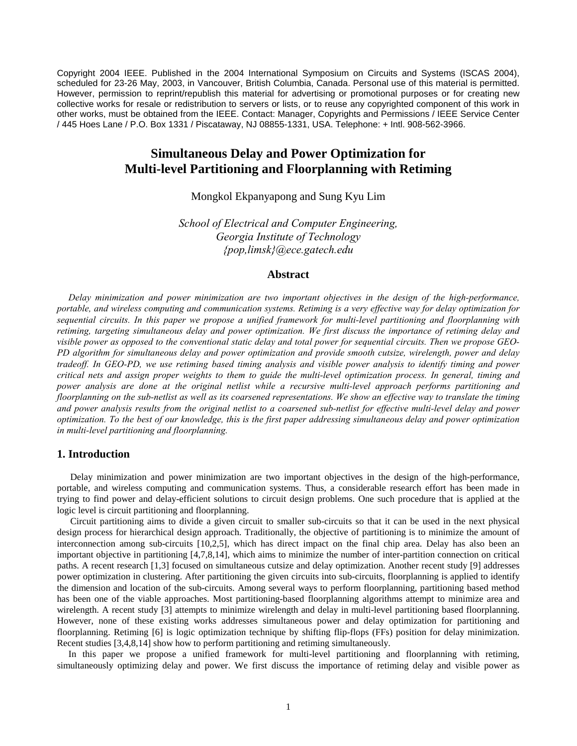Copyright 2004 IEEE. Published in the 2004 International Symposium on Circuits and Systems (ISCAS 2004), scheduled for 23-26 May, 2003, in Vancouver, British Columbia, Canada. Personal use of this material is permitted. However, permission to reprint/republish this material for advertising or promotional purposes or for creating new collective works for resale or redistribution to servers or lists, or to reuse any copyrighted component of this work in other works, must be obtained from the IEEE. Contact: Manager, Copyrights and Permissions / IEEE Service Center / 445 Hoes Lane / P.O. Box 1331 / Piscataway, NJ 08855-1331, USA. Telephone: + Intl. 908-562-3966.

# **Simultaneous Delay and Power Optimization for Multi-level Partitioning and Floorplanning with Retiming**

Mongkol Ekpanyapong and Sung Kyu Lim

*School of Electrical and Computer Engineering, Georgia Institute of Technology {pop,limsk}@ece.gatech.edu*

# **Abstract**

*Delay minimization and power minimization are two important objectives in the design of the high-performance, portable, and wireless computing and communication systems. Retiming is a very effective way for delay optimization for sequential circuits. In this paper we propose a unified framework for multi-level partitioning and floorplanning with retiming, targeting simultaneous delay and power optimization. We first discuss the importance of retiming delay and visible power as opposed to the conventional static delay and total power for sequential circuits. Then we propose GEO-PD algorithm for simultaneous delay and power optimization and provide smooth cutsize, wirelength, power and delay tradeoff. In GEO-PD, we use retiming based timing analysis and visible power analysis to identify timing and power critical nets and assign proper weights to them to guide the multi-level optimization process. In general, timing and power analysis are done at the original netlist while a recursive multi-level approach performs partitioning and floorplanning on the sub-netlist as well as its coarsened representations. We show an effective way to translate the timing and power analysis results from the original netlist to a coarsened sub-netlist for effective multi-level delay and power optimization. To the best of our knowledge, this is the first paper addressing simultaneous delay and power optimization in multi-level partitioning and floorplanning.* 

# **1. Introduction**

Delay minimization and power minimization are two important objectives in the design of the high-performance, portable, and wireless computing and communication systems. Thus, a considerable research effort has been made in trying to find power and delay-efficient solutions to circuit design problems. One such procedure that is applied at the logic level is circuit partitioning and floorplanning.

Circuit partitioning aims to divide a given circuit to smaller sub-circuits so that it can be used in the next physical design process for hierarchical design approach. Traditionally, the objective of partitioning is to minimize the amount of interconnection among sub-circuits [10,2,5], which has direct impact on the final chip area. Delay has also been an important objective in partitioning [4,7,8,14], which aims to minimize the number of inter-partition connection on critical paths. A recent research [1,3] focused on simultaneous cutsize and delay optimization. Another recent study [9] addresses power optimization in clustering. After partitioning the given circuits into sub-circuits, floorplanning is applied to identify the dimension and location of the sub-circuits. Among several ways to perform floorplanning, partitioning based method has been one of the viable approaches. Most partitioning-based floorplanning algorithms attempt to minimize area and wirelength. A recent study [3] attempts to minimize wirelength and delay in multi-level partitioning based floorplanning. However, none of these existing works addresses simultaneous power and delay optimization for partitioning and floorplanning. Retiming [6] is logic optimization technique by shifting flip-flops (FFs) position for delay minimization. Recent studies [3,4,8,14] show how to perform partitioning and retiming simultaneously.

In this paper we propose a unified framework for multi-level partitioning and floorplanning with retiming, simultaneously optimizing delay and power. We first discuss the importance of retiming delay and visible power as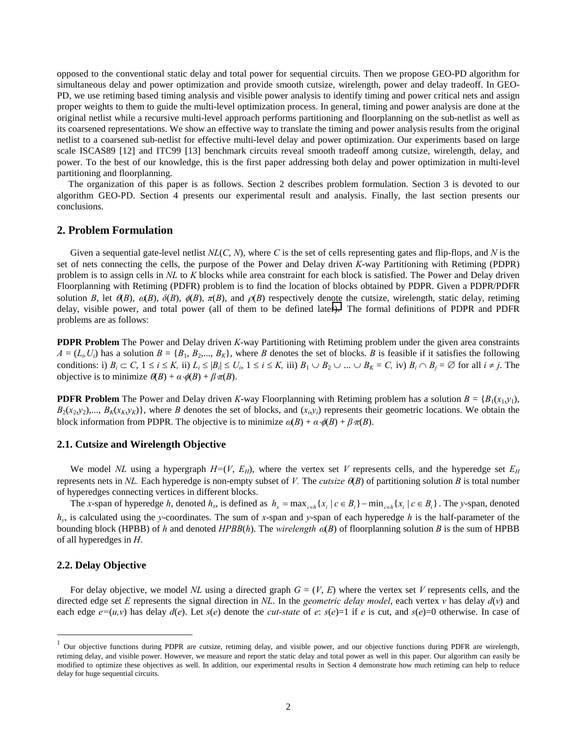opposed to the conventional static delay and total power for sequential circuits. Then we propose GEO-PD algorithm for simultaneous delay and power optimization and provide smooth cutsize, wirelength, power and delay tradeoff. In GEO-PD, we use retiming based timing analysis and visible power analysis to identify timing and power critical nets and assign proper weights to them to guide the multi-level optimization process. In general, timing and power analysis are done at the original netlist while a recursive multi-level approach performs partitioning and floorplanning on the sub-netlist as well as its coarsened representations. We show an effective way to translate the timing and power analysis results from the original netlist to a coarsened sub-netlist for effective multi-level delay and power optimization. Our experiments based on large scale ISCAS89 [12] and ITC99 [13] benchmark circuits reveal smooth tradeoff among cutsize, wirelength, delay, and power. To the best of our knowledge, this is the first paper addressing both delay and power optimization in multi-level partitioning and floorplanning.

The organization of this paper is as follows. Section 2 describes problem formulation. Section 3 is devoted to our algorithm GEO-PD. Section 4 presents our experimental result and analysis. Finally, the last section presents our conclusions.

# **2. Problem Formulation**

Given a sequential gate-level netlist  $NL(C, N)$ , where C is the set of cells representing gates and flip-flops, and N is the set of nets connecting the cells, the purpose of the Power and Delay driven *K*-way Partitioning with Retiming (PDPR) problem is to assign cells in *NL* to *K* blocks while area constraint for each block is satisfied. The Power and Delay driven Floorplanning with Retiming (PDFR) problem is to find the location of blocks obtained by PDPR. Given a PDPR/PDFR solution *B*, let  $\hat{\theta}(B)$ ,  $\hat{\theta}(B)$ ,  $\hat{\theta}(B)$ ,  $\hat{\theta}(B)$ ,  $\hat{\theta}(B)$ , and  $\hat{\theta}(B)$  respectively denote the cutsize, wirelength, static delay, retiming delay, visible power, and total power (all of them to be defined later). The formal definitions of PDPR and PDFR problems are as follows:

**PDPR Problem** The Power and Delay driven *K*-way Partitioning with Retiming problem under the given area constraints  $A = (L_i, U_i)$  has a solution  $B = \{B_1, B_2, \ldots, B_K\}$ , where *B* denotes the set of blocks. *B* is feasible if it satisfies the following conditions: i)  $B_i \subset C$ ,  $1 \le i \le K$ , ii)  $L_i \le |B_i| \le U_i$ ,  $1 \le i \le K$ , iii)  $B_1 \cup B_2 \cup ... \cup B_K = C$ , iv)  $B_i \cap B_i = \emptyset$  for all  $i \ne j$ . The objective is to minimize  $\theta$ (*B*) +  $\alpha \cdot \phi$ (*B*) +  $\beta \pi$ (*B*).

**PDFR Problem** The Power and Delay driven *K*-way Floorplanning with Retiming problem has a solution  $B = \{B_1(x_1, y_1),\}$  $B_2(x_2, y_2),..., B_k(x_k, y_k)$ , where *B* denotes the set of blocks, and  $(x_i, y_i)$  represents their geometric locations. We obtain the block information from PDPR. The objective is to minimize  $\alpha(B) + \alpha \cdot \phi(B) + \beta \pi(B)$ .

### **2.1. Cutsize and Wirelength Objective**

We model *NL* using a hypergraph  $H=(V, E_H)$ , where the vertex set *V* represents cells, and the hyperedge set  $E_H$ represents nets in *NL*. Each hyperedge is non-empty subset of *V*. The *cutsize*  $\theta$ (*B*) of partitioning solution *B* is total number of hyperedges connecting vertices in different blocks.

The x-span of hyperedge h, denoted h<sub>x</sub>, is defined as  $h_x = \max_{c \in h} \{x_i | c \in B_i\} - \min_{c \in h} \{x_i | c \in B_i\}$ . The y-span, denoted *hy*, is calculated using the *y*-coordinates. The sum of *x*-span and *y*-span of each hyperedge *h* is the half-parameter of the bounding block (HPBB) of *h* and denoted  $HPBB(h)$ . The *wirelength*  $\alpha(B)$  of floorplanning solution *B* is the sum of HPBB of all hyperedges in *H*.

## **2.2. Delay Objective**

 $\overline{a}$ 

For delay objective, we model *NL* using a directed graph  $G = (V, E)$  where the vertex set *V* represents cells, and the directed edge set *E* represents the signal direction in *NL*. In the *geometric delay model*, each vertex *v* has delay *d*(*v*) and each edge  $e=(u,v)$  has delay  $d(e)$ . Let  $s(e)$  denote the *cut-state* of *e*:  $s(e)=1$  if *e* is cut, and  $s(e)=0$  otherwise. In case of

 $1$  Our objective functions during PDPR are cutsize, retiming delay, and visible power, and our objective functions during PDFR are wirelength, retiming delay, and visible power. However, we measure and report the static delay and total power as well in this paper. Our algorithm can easily be modified to optimize these objectives as well. In addition, our experimental results in Section 4 demonstrate how much retiming can help to reduce delay for huge sequential circuits.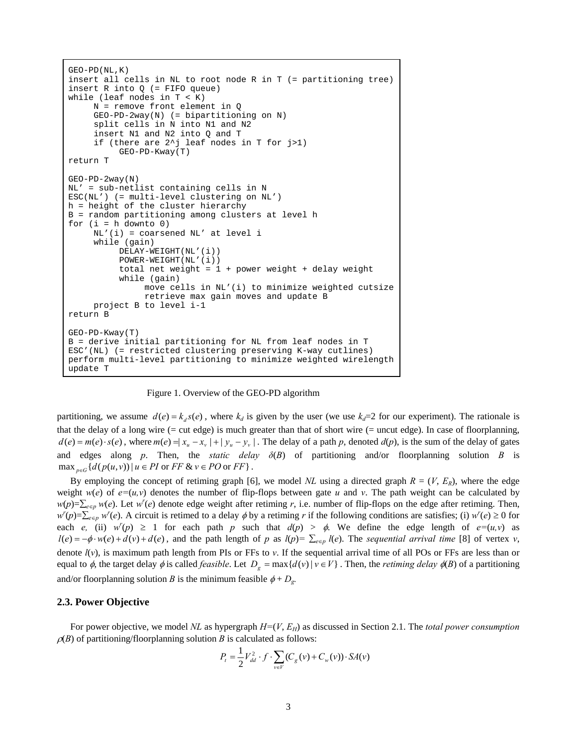```
GEO-PD(NL,K) 
insert all cells in NL to root node R in T (= partitioning tree) 
insert R into Q (= FIFO queue) 
while (leaf nodes in T < K)
      N = remove front element in Q 
      GEO-PD-2way(N) (= bipartitioning on N) 
      split cells in N into N1 and N2 
      insert N1 and N2 into Q and T 
      if (there are 2^j leaf nodes in T for j>1) 
           GEO-PD-Kway(T) 
return T 
GEO-PD-2way(N) 
NL' = sub-netlist containing cells in N 
ESC(NL') (= multi-level clustering on NL') 
h = height of the cluster hierarchy 
B = random partitioning among clusters at level h 
for (i = h \text{ downto } 0) NL'(i) = coarsened NL' at level i 
      while (gain) 
           DELAY-WEIGHT(NL'(i)) 
           POWER-WEIGHT(NL'(i)) 
          total net weight = 1 + power weight + delay weight
           while (gain) 
                move cells in NL'(i) to minimize weighted cutsize 
                retrieve max gain moves and update B 
      project B to level i-1 
return B 
GEO-PD-Kway(T) 
B = derive initial partitioning for NL from leaf nodes in T 
ESC'(NL) (= restricted clustering preserving K-way cutlines) 
perform multi-level partitioning to minimize weighted wirelength 
update T
```
Figure 1. Overview of the GEO-PD algorithm

partitioning, we assume  $d(e) = k_d s(e)$ , where  $k_d$  is given by the user (we use  $k_d=2$  for our experiment). The rationale is that the delay of a long wire (= cut edge) is much greater than that of short wire (= uncut edge). In case of floorplanning,  $d(e) = m(e) \cdot s(e)$ , where  $m(e) = |x_u - x_v| + |y_u - y_v|$ . The delay of a path p, denoted  $d(p)$ , is the sum of the delay of gates and edges along *p*. Then, the *static delay*  $\delta(B)$  of partitioning and/or floorplanning solution *B* is  $\max_{n \in \mathbb{G}} \{ d(p(u, v)) \mid u \in \mathbb{P} I \text{ or } \mathbb{F} \in \mathbb{R} \}$   $\in \mathbb{P} O \text{ or } \mathbb{F} \in \mathbb{F} \}$ .

By employing the concept of retiming graph [6], we model *NL* using a directed graph  $R = (V, E_R)$ , where the edge weight  $w(e)$  of  $e=(u,v)$  denotes the number of flip-flops between gate *u* and *v*. The path weight can be calculated by  $w(p)=\sum_{e\in p} w(e)$ . Let  $w'(e)$  denote edge weight after retiming *r*, i.e. number of flip-flops on the edge after retiming. Then,  $w'(p) = \sum_{e \in p} w'(e)$ . A circuit is retimed to a delay  $\phi$  by a retiming *r* if the following conditions are satisfies; (i)  $w'(e) \ge 0$  for each *e*, (ii)  $w'(p) \ge 1$  for each path *p* such that  $d(p) > \phi$ . We define the edge length of  $e=(u,v)$  as  $l(e) = -\phi \cdot w(e) + d(v) + d(e)$ , and the path length of p as  $l(p) = \sum_{e \in p} l(e)$ . The sequential arrival time [8] of vertex v, denote *l*(*v*), is maximum path length from PIs or FFs to *v*. If the sequential arrival time of all POs or FFs are less than or equal to  $\phi$ , the target delay  $\phi$  is called *feasible*. Let  $D_g = \max\{d(v) | v \in V\}$ . Then, the *retiming delay*  $\phi(B)$  of a partitioning and/or floorplanning solution *B* is the minimum feasible  $\phi + D_g$ .

#### **2.3. Power Objective**

For power objective, we model *NL* as hypergraph  $H=(V, E_H)$  as discussed in Section 2.1. The *total power consumption*  $\rho(B)$  of partitioning/floorplanning solution *B* is calculated as follows:

$$
P_t = \frac{1}{2} V_{dd}^2 \cdot f \cdot \sum_{v \in V} (C_g(v) + C_w(v)) \cdot SA(v)
$$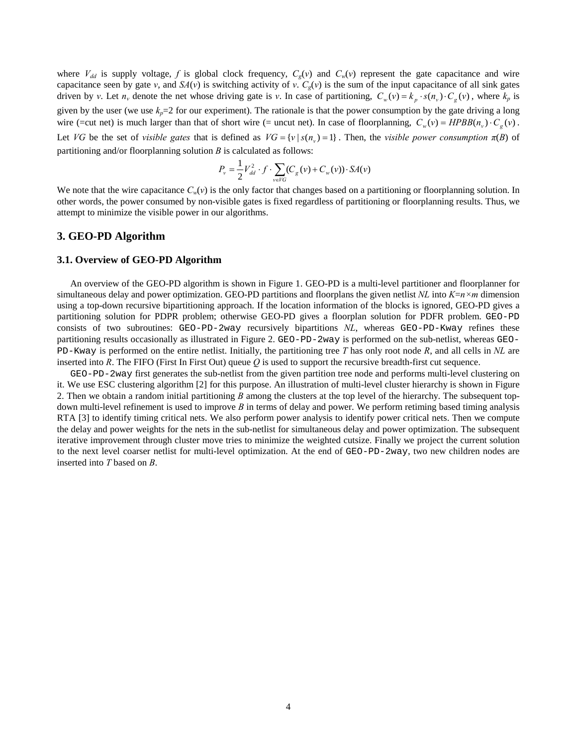where  $V_{dd}$  is supply voltage, f is global clock frequency,  $C_g(v)$  and  $C_w(v)$  represent the gate capacitance and wire capacitance seen by gate *v*, and  $S_A(v)$  is switching activity of *v*.  $C_g(v)$  is the sum of the input capacitance of all sink gates driven by v. Let  $n_v$  denote the net whose driving gate is v. In case of partitioning,  $C_w(v) = k_p \cdot s(n_v) \cdot C_g(v)$ , where  $k_p$  is given by the user (we use  $k_p=2$  for our experiment). The rationale is that the power consumption by the gate driving a long wire (=cut net) is much larger than that of short wire (= uncut net). In case of floorplanning,  $C_w(v) = HPBB(n_v) \cdot C_g(v)$ . Let *VG* be the set of *visible gates* that is defined as  $VG = \{v | s(n_v) = 1\}$ . Then, the *visible power consumption*  $\pi(B)$  of partitioning and/or floorplanning solution *B* is calculated as follows:

$$
P_v = \frac{1}{2} V_{dd}^2 \cdot f \cdot \sum_{v \in VG} (C_g(v) + C_w(v)) \cdot SA(v)
$$

We note that the wire capacitance  $C_w(v)$  is the only factor that changes based on a partitioning or floorplanning solution. In other words, the power consumed by non-visible gates is fixed regardless of partitioning or floorplanning results. Thus, we attempt to minimize the visible power in our algorithms.

## **3. GEO-PD Algorithm**

#### **3.1. Overview of GEO-PD Algorithm**

An overview of the GEO-PD algorithm is shown in Figure 1. GEO-PD is a multi-level partitioner and floorplanner for simultaneous delay and power optimization. GEO-PD partitions and floorplans the given netlist *NL* into *K*=*n×m* dimension using a top-down recursive bipartitioning approach. If the location information of the blocks is ignored, GEO-PD gives a partitioning solution for PDPR problem; otherwise GEO-PD gives a floorplan solution for PDFR problem. GEO-PD consists of two subroutines: GEO-PD-2way recursively bipartitions *NL*, whereas GEO-PD-Kway refines these partitioning results occasionally as illustrated in Figure 2. GEO-PD-2way is performed on the sub-netlist, whereas GEO-PD-Kway is performed on the entire netlist. Initially, the partitioning tree *T* has only root node *R*, and all cells in *NL* are inserted into *R*. The FIFO (First In First Out) queue *Q* is used to support the recursive breadth-first cut sequence.

GEO-PD-2way first generates the sub-netlist from the given partition tree node and performs multi-level clustering on it. We use ESC clustering algorithm [2] for this purpose. An illustration of multi-level cluster hierarchy is shown in Figure 2. Then we obtain a random initial partitioning *B* among the clusters at the top level of the hierarchy. The subsequent topdown multi-level refinement is used to improve *B* in terms of delay and power. We perform retiming based timing analysis RTA [3] to identify timing critical nets. We also perform power analysis to identify power critical nets. Then we compute the delay and power weights for the nets in the sub-netlist for simultaneous delay and power optimization. The subsequent iterative improvement through cluster move tries to minimize the weighted cutsize. Finally we project the current solution to the next level coarser netlist for multi-level optimization. At the end of GEO-PD-2way, two new children nodes are inserted into *T* based on *B*.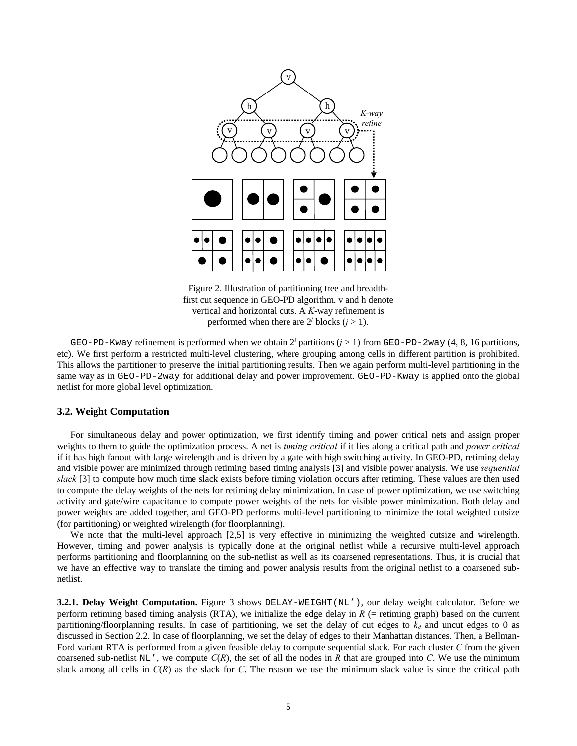

Figure 2. Illustration of partitioning tree and breadthfirst cut sequence in GEO-PD algorithm. v and h denote vertical and horizontal cuts. A *K*-way refinement is performed when there are  $2^j$  blocks  $(j > 1)$ .

GEO-PD-Kway refinement is performed when we obtain  $2^{j}$  partitions ( $j > 1$ ) from GEO-PD-2way (4, 8, 16 partitions, etc). We first perform a restricted multi-level clustering, where grouping among cells in different partition is prohibited. This allows the partitioner to preserve the initial partitioning results. Then we again perform multi-level partitioning in the same way as in GEO-PD-2way for additional delay and power improvement. GEO-PD-Kway is applied onto the global netlist for more global level optimization.

## **3.2. Weight Computation**

For simultaneous delay and power optimization, we first identify timing and power critical nets and assign proper weights to them to guide the optimization process. A net is *timing critical* if it lies along a critical path and *power critical* if it has high fanout with large wirelength and is driven by a gate with high switching activity. In GEO-PD, retiming delay and visible power are minimized through retiming based timing analysis [3] and visible power analysis. We use *sequential slack* [3] to compute how much time slack exists before timing violation occurs after retiming. These values are then used to compute the delay weights of the nets for retiming delay minimization. In case of power optimization, we use switching activity and gate/wire capacitance to compute power weights of the nets for visible power minimization. Both delay and power weights are added together, and GEO-PD performs multi-level partitioning to minimize the total weighted cutsize (for partitioning) or weighted wirelength (for floorplanning).

We note that the multi-level approach [2,5] is very effective in minimizing the weighted cutsize and wirelength. However, timing and power analysis is typically done at the original netlist while a recursive multi-level approach performs partitioning and floorplanning on the sub-netlist as well as its coarsened representations. Thus, it is crucial that we have an effective way to translate the timing and power analysis results from the original netlist to a coarsened subnetlist.

**3.2.1. Delay Weight Computation.** Figure 3 shows DELAY-WEIGHT(NL'), our delay weight calculator. Before we perform retiming based timing analysis (RTA), we initialize the edge delay in  $R$  (= retiming graph) based on the current partitioning/floorplanning results. In case of partitioning, we set the delay of cut edges to  $k_d$  and uncut edges to 0 as discussed in Section 2.2. In case of floorplanning, we set the delay of edges to their Manhattan distances. Then, a Bellman-Ford variant RTA is performed from a given feasible delay to compute sequential slack. For each cluster *C* from the given coarsened sub-netlist  $NL'$ , we compute  $C(R)$ , the set of all the nodes in R that are grouped into C. We use the minimum slack among all cells in *C*(*R*) as the slack for *C*. The reason we use the minimum slack value is since the critical path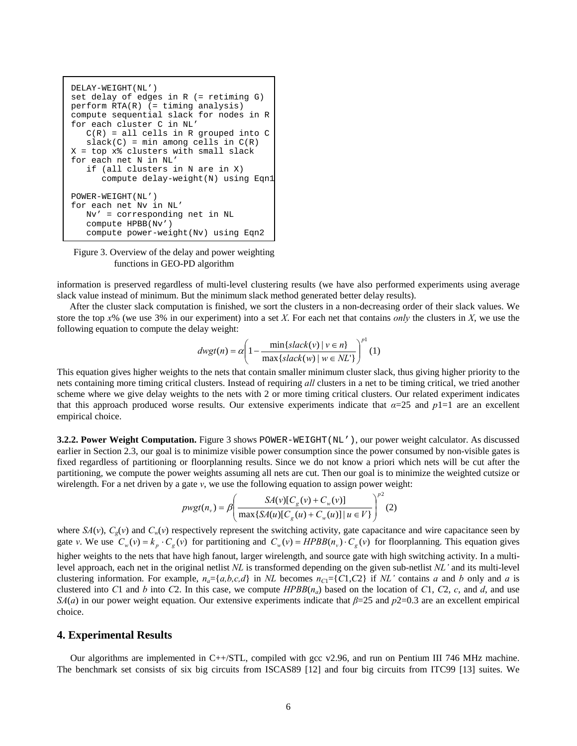

Figure 3. Overview of the delay and power weighting functions in GEO-PD algorithm

information is preserved regardless of multi-level clustering results (we have also performed experiments using average slack value instead of minimum. But the minimum slack method generated better delay results).

After the cluster slack computation is finished, we sort the clusters in a non-decreasing order of their slack values. We store the top *x*% (we use 3% in our experiment) into a set *X*. For each net that contains *only* the clusters in *X*, we use the following equation to compute the delay weight:

$$
dwgt(n) = \alpha \left( 1 - \frac{\min\{slack(v) \mid v \in n\}}{\max\{slack(w) \mid w \in NL'\}} \right)^{p^1}(1)
$$

This equation gives higher weights to the nets that contain smaller minimum cluster slack, thus giving higher priority to the nets containing more timing critical clusters. Instead of requiring *all* clusters in a net to be timing critical, we tried another scheme where we give delay weights to the nets with 2 or more timing critical clusters. Our related experiment indicates that this approach produced worse results. Our extensive experiments indicate that  $\alpha$ =25 and  $p1=1$  are an excellent empirical choice.

**3.2.2. Power Weight Computation.** Figure 3 shows POWER-WEIGHT(NL'), our power weight calculator. As discussed earlier in Section 2.3, our goal is to minimize visible power consumption since the power consumed by non-visible gates is fixed regardless of partitioning or floorplanning results. Since we do not know a priori which nets will be cut after the partitioning, we compute the power weights assuming all nets are cut. Then our goal is to minimize the weighted cutsize or wirelength. For a net driven by a gate *v*, we use the following equation to assign power weight:

$$
p wgt(n_v) = \beta \left( \frac{SA(v)[C_g(v) + C_w(v)]}{\max\{SA(u)[C_g(u) + C_w(u)] \mid u \in V\}} \right)^{p^2} (2)
$$

where  $SA(v)$ ,  $C_g(v)$  and  $C_w(v)$  respectively represent the switching activity, gate capacitance and wire capacitance seen by gate v. We use  $C_w(v) = k_p \cdot C_g(v)$  for partitioning and  $C_w(v) = HPBB(n_v) \cdot C_g(v)$  for floorplanning. This equation gives higher weights to the nets that have high fanout, larger wirelength, and source gate with high switching activity. In a multilevel approach, each net in the original netlist *NL* is transformed depending on the given sub-netlist *NL*<sup>*'*</sup> and its multi-level clustering information. For example,  $n_a = \{a,b,c,d\}$  in *NL* becomes  $n_{C} = \{C1, C2\}$  if *NL*<sup>*'*</sup> contains *a* and *b* only and *a* is clustered into *C*1 and *b* into *C*2. In this case, we compute  $HPBB(n_a)$  based on the location of *C*1, *C*2, *c*, and *d*, and use *SA*(*a*) in our power weight equation. Our extensive experiments indicate that *β*=25 and *p*2=0.3 are an excellent empirical choice.

## **4. Experimental Results**

Our algorithms are implemented in C++/STL, compiled with gcc v2.96, and run on Pentium III 746 MHz machine. The benchmark set consists of six big circuits from ISCAS89 [12] and four big circuits from ITC99 [13] suites. We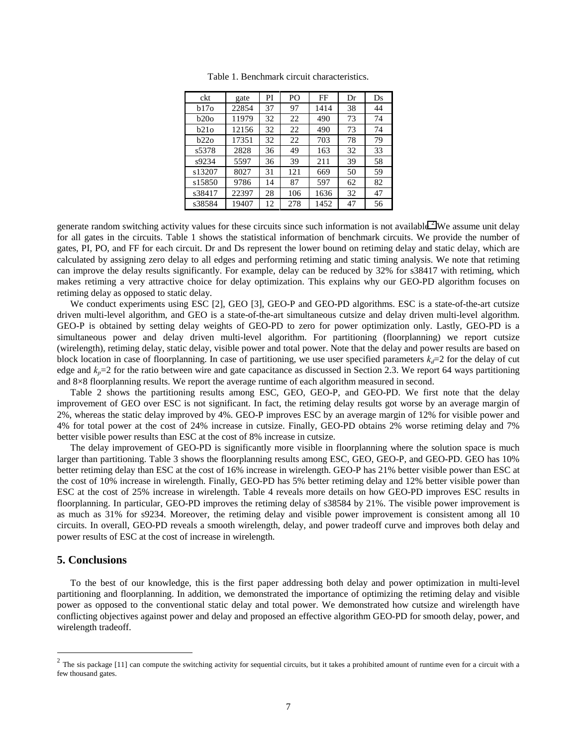| ckt    | gate  | PI | PO  | FF   | Dr | Ds |
|--------|-------|----|-----|------|----|----|
| b17o   | 22854 | 37 | 97  | 1414 | 38 | 44 |
| b200   | 11979 | 32 | 22  | 490  | 73 | 74 |
| b21o   | 12156 | 32 | 22  | 490  | 73 | 74 |
| b22o   | 17351 | 32 | 22  | 703  | 78 | 79 |
| s5378  | 2828  | 36 | 49  | 163  | 32 | 33 |
| s9234  | 5597  | 36 | 39  | 211  | 39 | 58 |
| s13207 | 8027  | 31 | 121 | 669  | 50 | 59 |
| s15850 | 9786  | 14 | 87  | 597  | 62 | 82 |
| s38417 | 22397 | 28 | 106 | 1636 | 32 | 47 |
| s38584 | 19407 | 12 | 278 | 1452 | 47 | 56 |

Table 1. Benchmark circuit characteristics.

generate random switching activity values for these circuits since such information is not available.<sup>2</sup> We assume unit delay for all gates in the circuits. Table 1 shows the statistical information of benchmark circuits. We provide the number of gates, PI, PO, and FF for each circuit. Dr and Ds represent the lower bound on retiming delay and static delay, which are calculated by assigning zero delay to all edges and performing retiming and static timing analysis. We note that retiming can improve the delay results significantly. For example, delay can be reduced by 32% for s38417 with retiming, which makes retiming a very attractive choice for delay optimization. This explains why our GEO-PD algorithm focuses on retiming delay as opposed to static delay.

We conduct experiments using ESC [2], GEO [3], GEO-P and GEO-PD algorithms. ESC is a state-of-the-art cutsize driven multi-level algorithm, and GEO is a state-of-the-art simultaneous cutsize and delay driven multi-level algorithm. GEO-P is obtained by setting delay weights of GEO-PD to zero for power optimization only. Lastly, GEO-PD is a simultaneous power and delay driven multi-level algorithm. For partitioning (floorplanning) we report cutsize (wirelength), retiming delay, static delay, visible power and total power. Note that the delay and power results are based on block location in case of floorplanning. In case of partitioning, we use user specified parameters  $k_d$ =2 for the delay of cut edge and  $k_p$ =2 for the ratio between wire and gate capacitance as discussed in Section 2.3. We report 64 ways partitioning and 8×8 floorplanning results. We report the average runtime of each algorithm measured in second.

Table 2 shows the partitioning results among ESC, GEO, GEO-P, and GEO-PD. We first note that the delay improvement of GEO over ESC is not significant. In fact, the retiming delay results got worse by an average margin of 2%, whereas the static delay improved by 4%. GEO-P improves ESC by an average margin of 12% for visible power and 4% for total power at the cost of 24% increase in cutsize. Finally, GEO-PD obtains 2% worse retiming delay and 7% better visible power results than ESC at the cost of 8% increase in cutsize.

The delay improvement of GEO-PD is significantly more visible in floorplanning where the solution space is much larger than partitioning. Table 3 shows the floorplanning results among ESC, GEO, GEO-P, and GEO-PD. GEO has 10% better retiming delay than ESC at the cost of 16% increase in wirelength. GEO-P has 21% better visible power than ESC at the cost of 10% increase in wirelength. Finally, GEO-PD has 5% better retiming delay and 12% better visible power than ESC at the cost of 25% increase in wirelength. Table 4 reveals more details on how GEO-PD improves ESC results in floorplanning. In particular, GEO-PD improves the retiming delay of s38584 by 21%. The visible power improvement is as much as 31% for s9234. Moreover, the retiming delay and visible power improvement is consistent among all 10 circuits. In overall, GEO-PD reveals a smooth wirelength, delay, and power tradeoff curve and improves both delay and power results of ESC at the cost of increase in wirelength.

# **5. Conclusions**

 $\overline{a}$ 

To the best of our knowledge, this is the first paper addressing both delay and power optimization in multi-level partitioning and floorplanning. In addition, we demonstrated the importance of optimizing the retiming delay and visible power as opposed to the conventional static delay and total power. We demonstrated how cutsize and wirelength have conflicting objectives against power and delay and proposed an effective algorithm GEO-PD for smooth delay, power, and wirelength tradeoff.

 $2$  The sis package [11] can compute the switching activity for sequential circuits, but it takes a prohibited amount of runtime even for a circuit with a few thousand gates.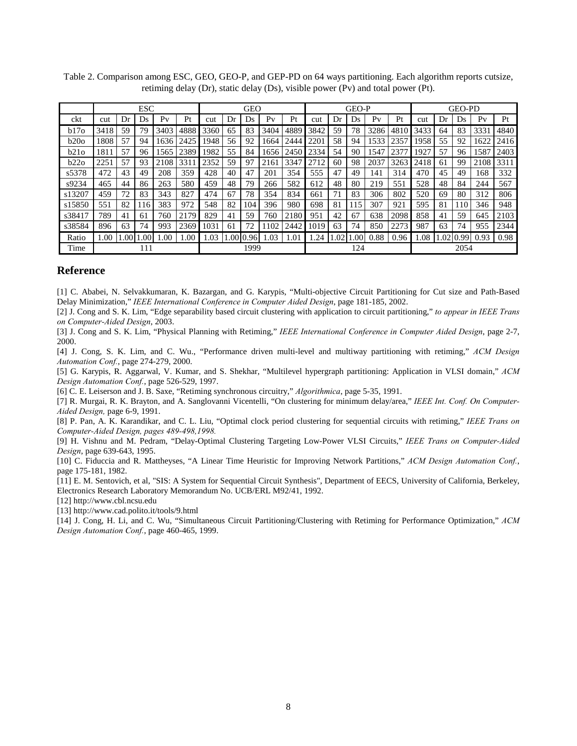|        | <b>ESC</b> |      |     |      |      | <b>GEO</b> |     |      |                |      |      | <b>GEO-P</b> |     | <b>GEO-PD</b>  |      |      |     |      |      |      |
|--------|------------|------|-----|------|------|------------|-----|------|----------------|------|------|--------------|-----|----------------|------|------|-----|------|------|------|
| ckt    | cut        | Dr   | Ds  | Pv   | Pt   | cut        | Dr  | Ds.  | P <sub>V</sub> | Pt   | cut  | Dr           | Ds  | P <sub>V</sub> | Pt   | cut  | Dr  | Ds   | Pv   | Pt   |
| b17o   | 3418       | 59   | 79  | 3403 | 4888 | 3360       | 65  | 83   | 3404           | 4889 | 3842 | 59           | 78  | 3286           | 4810 | 3433 | 64  | 83   | 3331 | 4840 |
| b20o   | 1808       | 57   | 94  | 1636 | 2425 | 1948       | 56  | 92   | 1664           | 2444 | 2201 | 58           | 94  | 1533           | 2357 | 1958 | 55  | 92   | 1622 | 2416 |
| b210   | 1811       | 57   | 96  | 1565 | 2389 | 1982       | 55  | 84   | 1656           | 2450 | 2334 | 54           | 90  | 1547           | 2377 | 1927 | 57  | 96   | 1587 | 2403 |
| b22o   | 2251       | 57   | 93  | 2108 | 331  | 2352       | 59  | 97   | 2161           | 3347 | 2712 | 60           | 98  | 2037           | 3263 | 2418 | 61  | 99   | 2108 | 3311 |
| s5378  | 472        | 43   | 49  | 208  | 359  | 428        | 40  | 47   | 201            | 354  | 555  | 47           | 49  | 141            | 314  | 470  | 45  | 49   | 168  | 332  |
| s9234  | 465        | 44   | 86  | 263  | 580  | 459        | 48  | 79   | 266            | 582  | 612  | 48           | 80  | 219            | 551  | 528  | 48  | 84   | 244  | 567  |
| s13207 | 459        | 72   | 83  | 343  | 827  | 474        | 67  | 78   | 354            | 834  | 661  | 71           | 83  | 306            | 802  | 520  | 69  | 80   | 312  | 806  |
| s15850 | 551        | 82   | 116 | 383  | 972  | 548        | 82  | 104  | 396            | 980  | 698  | 81           | 115 | 307            | 921  | 595  | 81  | 110  | 346  | 948  |
| s38417 | 789        | 41   | 61  | 760  | 2179 | 829        | 41  | 59   | 760            | 2180 | 951  | 42           | 67  | 638            | 2098 | 858  | 41  | 59   | 645  | 2103 |
| s38584 | 896        | 63   | 74  | 993  | 2369 | 1031       | 61  | 72   | 102            | 2442 | 1019 | 63           | 74  | 850            | 2273 | 987  | 63  | 74   | 955  | 2344 |
| Ratio  | 00.1       | .001 | .00 | .00  | .00  | 1.03       | .00 | 0.96 | .03            | 1.01 | .24  | .02          | .00 | 0.88           | 0.96 | 1.08 | .02 | 0.99 | 0.93 | 0.98 |
| Time   |            |      | 111 |      |      |            |     | 1999 |                |      | 124  |              |     |                |      | 2054 |     |      |      |      |

Table 2. Comparison among ESC, GEO, GEO-P, and GEP-PD on 64 ways partitioning. Each algorithm reports cutsize, retiming delay (Dr), static delay (Ds), visible power (Pv) and total power (Pt).

## **Reference**

[1] C. Ababei, N. Selvakkumaran, K. Bazargan, and G. Karypis, "Multi-objective Circuit Partitioning for Cut size and Path-Based Delay Minimization," *IEEE International Conference in Computer Aided Design*, page 181-185, 2002.

[2] J. Cong and S. K. Lim, "Edge separability based circuit clustering with application to circuit partitioning," *to appear in IEEE Trans on Computer-Aided Design*, 2003.

[3] J. Cong and S. K. Lim, "Physical Planning with Retiming," *IEEE International Conference in Computer Aided Design*, page 2-7, 2000.

[4] J. Cong, S. K. Lim, and C. Wu., "Performance driven multi-level and multiway partitioning with retiming," *ACM Design Automation Conf.*, page 274-279, 2000.

[5] G. Karypis, R. Aggarwal, V. Kumar, and S. Shekhar, "Multilevel hypergraph partitioning: Application in VLSI domain," *ACM Design Automation Conf.*, page 526-529, 1997.

[6] C. E. Leiserson and J. B. Saxe, "Retiming synchronous circuitry," *Algorithmica*, page 5-35, 1991.

[7] R. Murgai, R. K. Brayton, and A. Sanglovanni Vicentelli, "On clustering for minimum delay/area," *IEEE Int. Conf. On Computer-Aided Design,* page 6-9, 1991.

[8] P. Pan, A. K. Karandikar, and C. L. Liu, "Optimal clock period clustering for sequential circuits with retiming," *IEEE Trans on Computer-Aided Design, pages 489-498,1998.*

[9] H. Vishnu and M. Pedram, "Delay-Optimal Clustering Targeting Low-Power VLSI Circuits," *IEEE Trans on Computer-Aided Design*, page 639-643, 1995.

[10] C. Fiduccia and R. Mattheyses, "A Linear Time Heuristic for Improving Network Partitions," *ACM Design Automation Conf.*, page 175-181, 1982.

[11] E. M. Sentovich, et al, "SIS: A System for Sequential Circuit Synthesis", Department of EECS, University of California, Berkeley, Electronics Research Laboratory Memorandum No. UCB/ERL M92/41, 1992.

[12] http://www.cbl.ncsu.edu

[13] http://www.cad.polito.it/tools/9.html

[14] J. Cong, H. Li, and C. Wu, "Simultaneous Circuit Partitioning/Clustering with Retiming for Performance Optimization," *ACM Design Automation Conf.*, page 460-465, 1999.